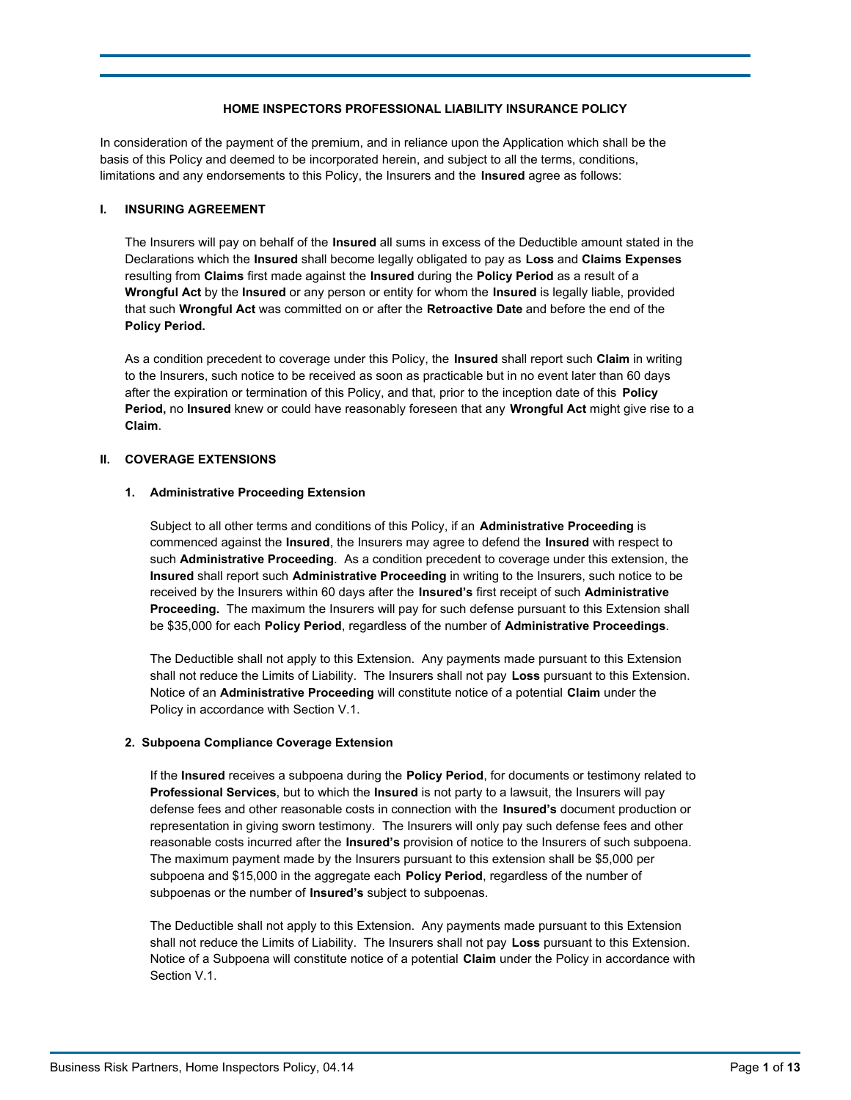# **HOME INSPECTORS PROFESSIONAL LIABILITY INSURANCE POLICY**

In consideration of the payment of the premium, and in reliance upon the Application which shall be the basis of this Policy and deemed to be incorporated herein, and subject to all the terms, conditions, limitations and any endorsements to this Policy, the Insurers and the **Insured** agree as follows:

### **I. INSURING AGREEMENT**

The Insurers will pay on behalf of the **Insured** all sums in excess of the Deductible amount stated in the Declarations which the **Insured** shall become legally obligated to pay as **Loss** and **Claims Expenses**  resulting from **Claims** first made against the **Insured** during the **Policy Period** as a result of a **Wrongful Act** by the **Insured** or any person or entity for whom the **Insured** is legally liable, provided that such **Wrongful Act** was committed on or after the **Retroactive Date** and before the end of the **Policy Period.**

As a condition precedent to coverage under this Policy, the **Insured** shall report such **Claim** in writing to the Insurers, such notice to be received as soon as practicable but in no event later than 60 days after the expiration or termination of this Policy, and that, prior to the inception date of this **Policy Period,** no **Insured** knew or could have reasonably foreseen that any **Wrongful Act** might give rise to a **Claim**.

## **II. COVERAGE EXTENSIONS**

## **1. Administrative Proceeding Extension**

Subject to all other terms and conditions of this Policy, if an **Administrative Proceeding** is commenced against the **Insured**, the Insurers may agree to defend the **Insured** with respect to such **Administrative Proceeding**. As a condition precedent to coverage under this extension, the **Insured** shall report such **Administrative Proceeding** in writing to the Insurers, such notice to be received by the Insurers within 60 days after the **Insured's** first receipt of such **Administrative Proceeding.** The maximum the Insurers will pay for such defense pursuant to this Extension shall be \$35,000 for each **Policy Period**, regardless of the number of **Administrative Proceedings**.

The Deductible shall not apply to this Extension. Any payments made pursuant to this Extension shall not reduce the Limits of Liability. The Insurers shall not pay **Loss** pursuant to this Extension. Notice of an **Administrative Proceeding** will constitute notice of a potential **Claim** under the Policy in accordance with Section V.1.

## **2. Subpoena Compliance Coverage Extension**

If the **Insured** receives a subpoena during the **Policy Period**, for documents or testimony related to **Professional Services**, but to which the **Insured** is not party to a lawsuit, the Insurers will pay defense fees and other reasonable costs in connection with the **Insured's** document production or representation in giving sworn testimony. The Insurers will only pay such defense fees and other reasonable costs incurred after the **Insured's** provision of notice to the Insurers of such subpoena. The maximum payment made by the Insurers pursuant to this extension shall be \$5,000 per subpoena and \$15,000 in the aggregate each **Policy Period**, regardless of the number of subpoenas or the number of **Insured's** subject to subpoenas.

The Deductible shall not apply to this Extension. Any payments made pursuant to this Extension shall not reduce the Limits of Liability. The Insurers shall not pay **Loss** pursuant to this Extension. Notice of a Subpoena will constitute notice of a potential **Claim** under the Policy in accordance with Section V.1.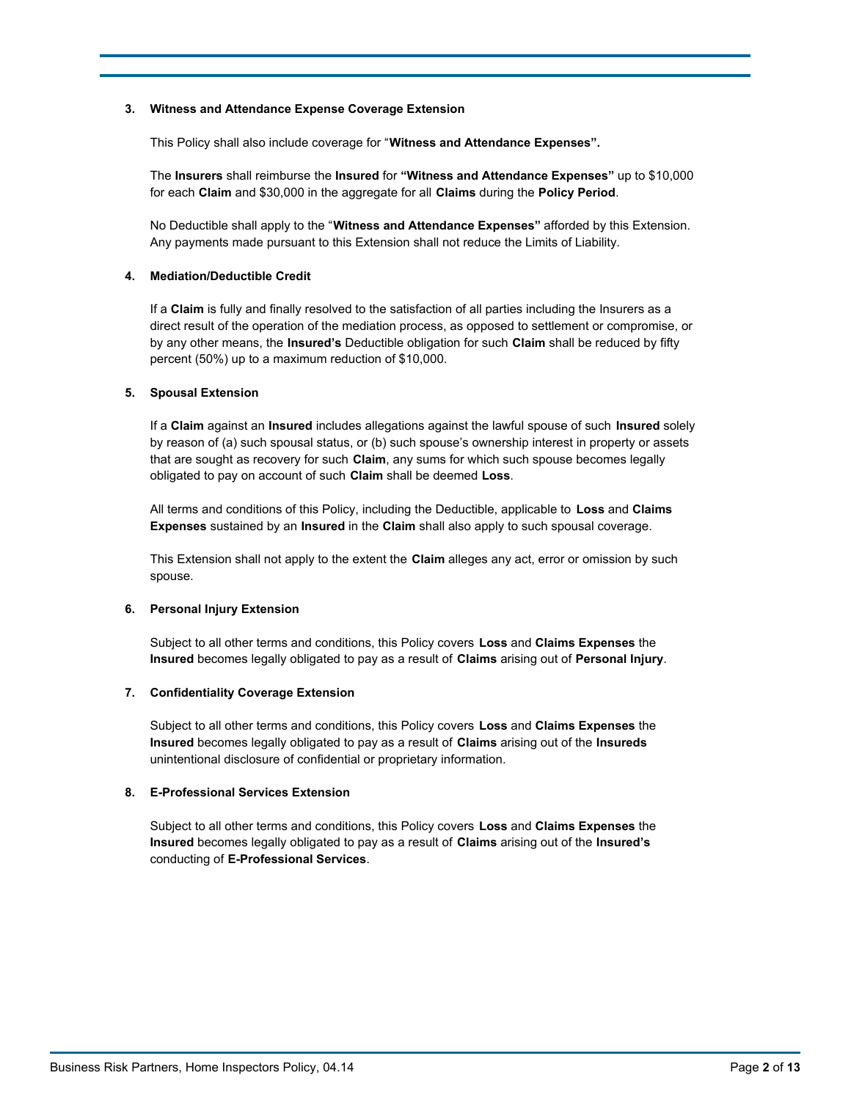### **3. Witness and Attendance Expense Coverage Extension**

This Policy shall also include coverage for "**Witness and Attendance Expenses".**

The **Insurers** shall reimburse the **Insured** for **"Witness and Attendance Expenses"** up to \$10,000 for each **Claim** and \$30,000 in the aggregate for all **Claims** during the **Policy Period**.

No Deductible shall apply to the "**Witness and Attendance Expenses"** afforded by this Extension. Any payments made pursuant to this Extension shall not reduce the Limits of Liability.

### **4. Mediation/Deductible Credit**

If a **Claim** is fully and finally resolved to the satisfaction of all parties including the Insurers as a direct result of the operation of the mediation process, as opposed to settlement or compromise, or by any other means, the **Insured's** Deductible obligation for such **Claim** shall be reduced by fifty percent (50%) up to a maximum reduction of \$10,000.

### **5. Spousal Extension**

If a **Claim** against an **Insured** includes allegations against the lawful spouse of such **Insured** solely by reason of (a) such spousal status, or (b) such spouse's ownership interest in property or assets that are sought as recovery for such **Claim**, any sums for which such spouse becomes legally obligated to pay on account of such **Claim** shall be deemed **Loss**.

All terms and conditions of this Policy, including the Deductible, applicable to **Loss** and **Claims Expenses** sustained by an **Insured** in the **Claim** shall also apply to such spousal coverage.

This Extension shall not apply to the extent the **Claim** alleges any act, error or omission by such spouse.

### **6. Personal Injury Extension**

Subject to all other terms and conditions, this Policy covers **Loss** and **Claims Expenses** the **Insured** becomes legally obligated to pay as a result of **Claims** arising out of **Personal Injury**.

### **7. Confidentiality Coverage Extension**

Subject to all other terms and conditions, this Policy covers **Loss** and **Claims Expenses** the **Insured** becomes legally obligated to pay as a result of **Claims** arising out of the **Insureds** unintentional disclosure of confidential or proprietary information.

### **8. E-Professional Services Extension**

Subject to all other terms and conditions, this Policy covers **Loss** and **Claims Expenses** the **Insured** becomes legally obligated to pay as a result of **Claims** arising out of the **Insured's** conducting of **E-Professional Services**.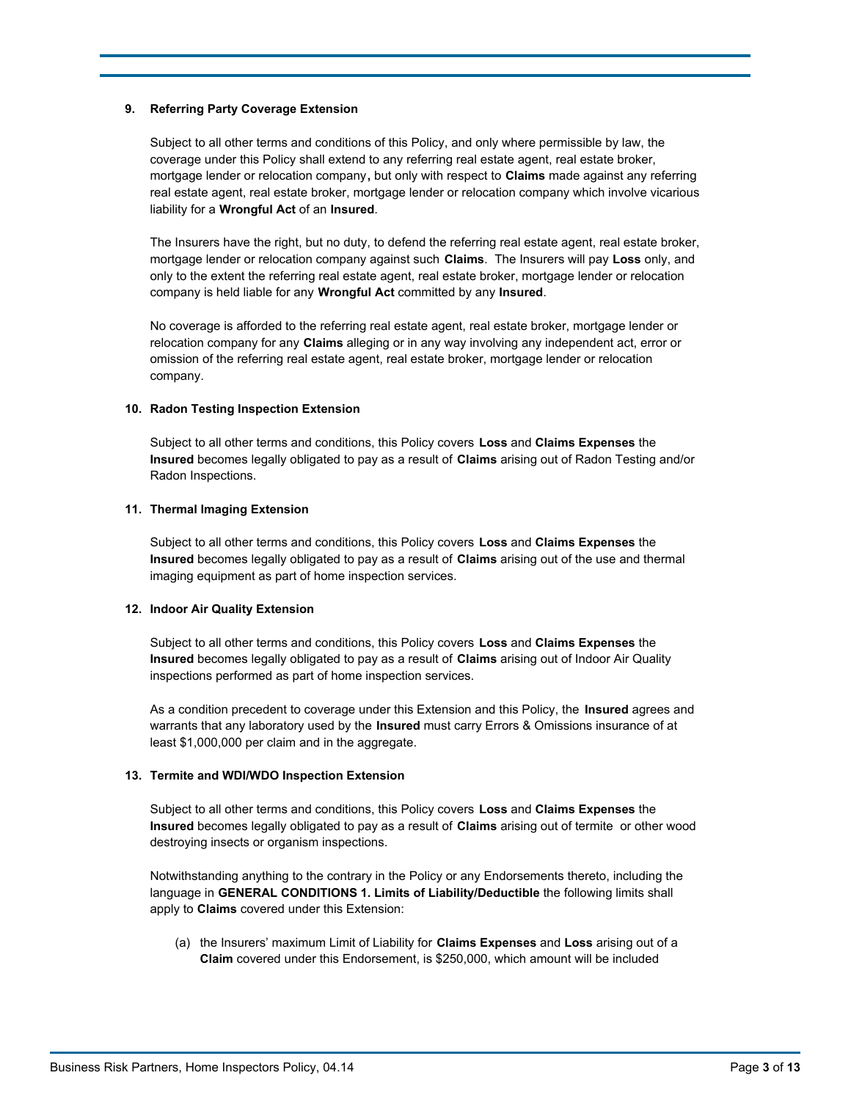### **9. Referring Party Coverage Extension**

Subject to all other terms and conditions of this Policy, and only where permissible by law, the coverage under this Policy shall extend to any referring real estate agent, real estate broker, mortgage lender or relocation company**,** but only with respect to **Claims** made against any referring real estate agent, real estate broker, mortgage lender or relocation company which involve vicarious liability for a **Wrongful Act** of an **Insured**.

The Insurers have the right, but no duty, to defend the referring real estate agent, real estate broker, mortgage lender or relocation company against such **Claims**. The Insurers will pay **Loss** only, and only to the extent the referring real estate agent, real estate broker, mortgage lender or relocation company is held liable for any **Wrongful Act** committed by any **Insured**.

No coverage is afforded to the referring real estate agent, real estate broker, mortgage lender or relocation company for any **Claims** alleging or in any way involving any independent act, error or omission of the referring real estate agent, real estate broker, mortgage lender or relocation company.

#### **10. Radon Testing Inspection Extension**

Subject to all other terms and conditions, this Policy covers **Loss** and **Claims Expenses** the **Insured** becomes legally obligated to pay as a result of **Claims** arising out of Radon Testing and/or Radon Inspections.

#### **11. Thermal Imaging Extension**

Subject to all other terms and conditions, this Policy covers **Loss** and **Claims Expenses** the **Insured** becomes legally obligated to pay as a result of **Claims** arising out of the use and thermal imaging equipment as part of home inspection services.

### **12. Indoor Air Quality Extension**

Subject to all other terms and conditions, this Policy covers **Loss** and **Claims Expenses** the **Insured** becomes legally obligated to pay as a result of **Claims** arising out of Indoor Air Quality inspections performed as part of home inspection services.

As a condition precedent to coverage under this Extension and this Policy, the **Insured** agrees and warrants that any laboratory used by the **Insured** must carry Errors & Omissions insurance of at least \$1,000,000 per claim and in the aggregate.

### **13. Termite and WDI/WDO Inspection Extension**

Subject to all other terms and conditions, this Policy covers **Loss** and **Claims Expenses** the **Insured** becomes legally obligated to pay as a result of **Claims** arising out of termite or other wood destroying insects or organism inspections.

Notwithstanding anything to the contrary in the Policy or any Endorsements thereto, including the language in **GENERAL CONDITIONS 1. Limits of Liability/Deductible** the following limits shall apply to **Claims** covered under this Extension:

(a) the Insurers' maximum Limit of Liability for **Claims Expenses** and **Loss** arising out of a **Claim** covered under this Endorsement, is \$250,000, which amount will be included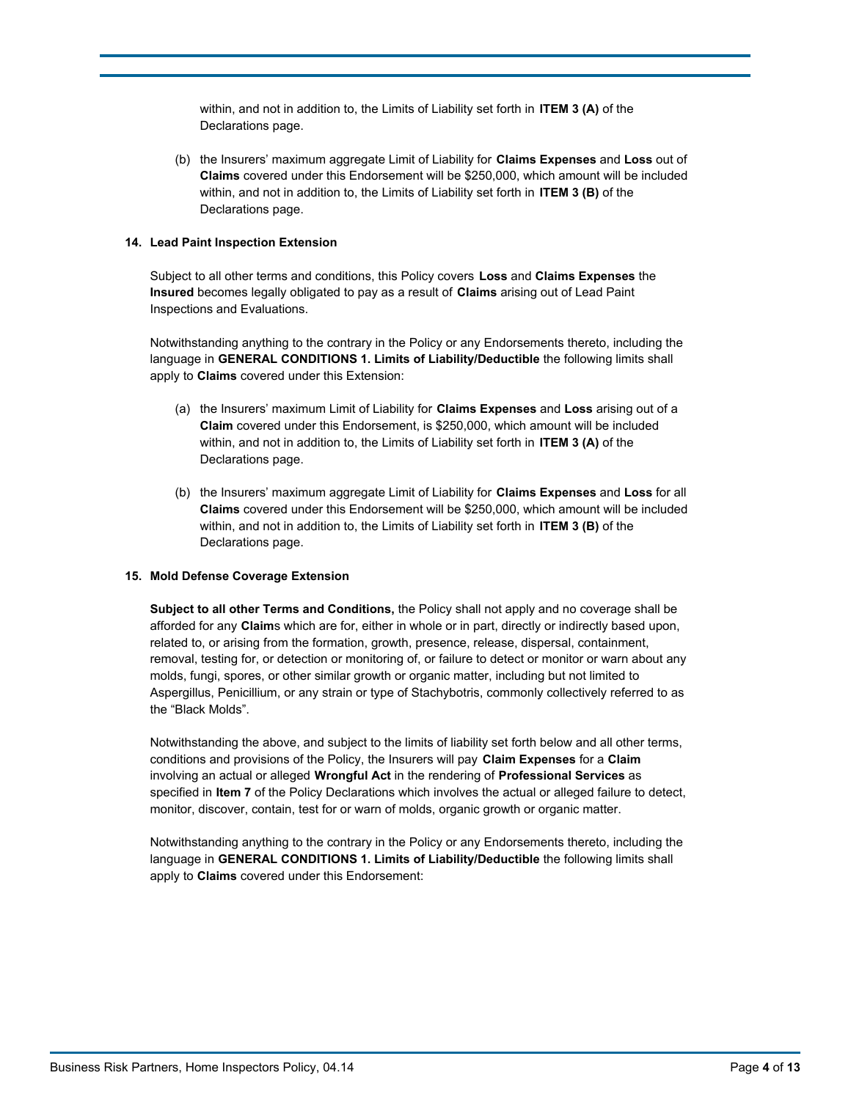within, and not in addition to, the Limits of Liability set forth in **ITEM 3 (A)** of the Declarations page.

(b) the Insurers' maximum aggregate Limit of Liability for **Claims Expenses** and **Loss** out of **Claims** covered under this Endorsement will be \$250,000, which amount will be included within, and not in addition to, the Limits of Liability set forth in **ITEM 3 (B)** of the Declarations page.

### **14. Lead Paint Inspection Extension**

Subject to all other terms and conditions, this Policy covers **Loss** and **Claims Expenses** the **Insured** becomes legally obligated to pay as a result of **Claims** arising out of Lead Paint Inspections and Evaluations.

Notwithstanding anything to the contrary in the Policy or any Endorsements thereto, including the language in **GENERAL CONDITIONS 1. Limits of Liability/Deductible** the following limits shall apply to **Claims** covered under this Extension:

- (a) the Insurers' maximum Limit of Liability for **Claims Expenses** and **Loss** arising out of a **Claim** covered under this Endorsement, is \$250,000, which amount will be included within, and not in addition to, the Limits of Liability set forth in **ITEM 3 (A)** of the Declarations page.
- (b) the Insurers' maximum aggregate Limit of Liability for **Claims Expenses** and **Loss** for all **Claims** covered under this Endorsement will be \$250,000, which amount will be included within, and not in addition to, the Limits of Liability set forth in **ITEM 3 (B)** of the Declarations page.

#### **15. Mold Defense Coverage Extension**

**Subject to all other Terms and Conditions,** the Policy shall not apply and no coverage shall be afforded for any **Claim**s which are for, either in whole or in part, directly or indirectly based upon, related to, or arising from the formation, growth, presence, release, dispersal, containment, removal, testing for, or detection or monitoring of, or failure to detect or monitor or warn about any molds, fungi, spores, or other similar growth or organic matter, including but not limited to Aspergillus, Penicillium, or any strain or type of Stachybotris, commonly collectively referred to as the "Black Molds".

Notwithstanding the above, and subject to the limits of liability set forth below and all other terms, conditions and provisions of the Policy, the Insurers will pay **Claim Expenses** for a **Claim** involving an actual or alleged **Wrongful Act** in the rendering of **Professional Services** as specified in **Item 7** of the Policy Declarations which involves the actual or alleged failure to detect, monitor, discover, contain, test for or warn of molds, organic growth or organic matter.

Notwithstanding anything to the contrary in the Policy or any Endorsements thereto, including the language in **GENERAL CONDITIONS 1. Limits of Liability/Deductible** the following limits shall apply to **Claims** covered under this Endorsement: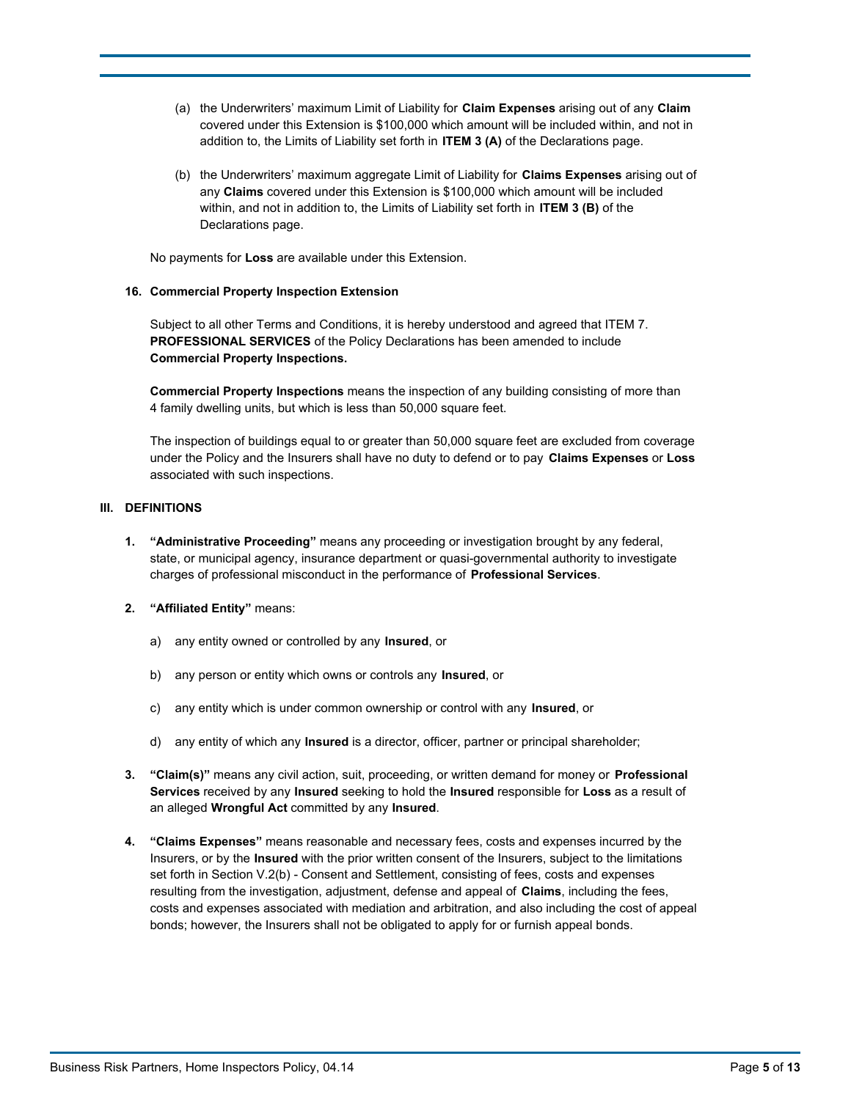- (a) the Underwriters' maximum Limit of Liability for **Claim Expenses** arising out of any **Claim** covered under this Extension is \$100,000 which amount will be included within, and not in addition to, the Limits of Liability set forth in **ITEM 3 (A)** of the Declarations page.
- (b) the Underwriters' maximum aggregate Limit of Liability for **Claims Expenses** arising out of any **Claims** covered under this Extension is \$100,000 which amount will be included within, and not in addition to, the Limits of Liability set forth in **ITEM 3 (B)** of the Declarations page.

No payments for **Loss** are available under this Extension.

## **16. Commercial Property Inspection Extension**

Subject to all other Terms and Conditions, it is hereby understood and agreed that ITEM 7. **PROFESSIONAL SERVICES** of the Policy Declarations has been amended to include **Commercial Property Inspections.**

**Commercial Property Inspections** means the inspection of any building consisting of more than 4 family dwelling units, but which is less than 50,000 square feet.

The inspection of buildings equal to or greater than 50,000 square feet are excluded from coverage under the Policy and the Insurers shall have no duty to defend or to pay **Claims Expenses** or **Loss** associated with such inspections.

## **III. DEFINITIONS**

- **1. "Administrative Proceeding"** means any proceeding or investigation brought by any federal, state, or municipal agency, insurance department or quasi-governmental authority to investigate charges of professional misconduct in the performance of **Professional Services**.
- **2. "Affiliated Entity"** means:
	- a) any entity owned or controlled by any **Insured**, or
	- b) any person or entity which owns or controls any **Insured**, or
	- c) any entity which is under common ownership or control with any **Insured**, or
	- d) any entity of which any **Insured** is a director, officer, partner or principal shareholder;
- **3. "Claim(s)"** means any civil action, suit, proceeding, or written demand for money or **Professional Services** received by any **Insured** seeking to hold the **Insured** responsible for **Loss** as a result of an alleged **Wrongful Act** committed by any **Insured**.
- **4. "Claims Expenses"** means reasonable and necessary fees, costs and expenses incurred by the Insurers, or by the **Insured** with the prior written consent of the Insurers, subject to the limitations set forth in Section V.2(b) - Consent and Settlement, consisting of fees, costs and expenses resulting from the investigation, adjustment, defense and appeal of **Claims**, including the fees, costs and expenses associated with mediation and arbitration, and also including the cost of appeal bonds; however, the Insurers shall not be obligated to apply for or furnish appeal bonds.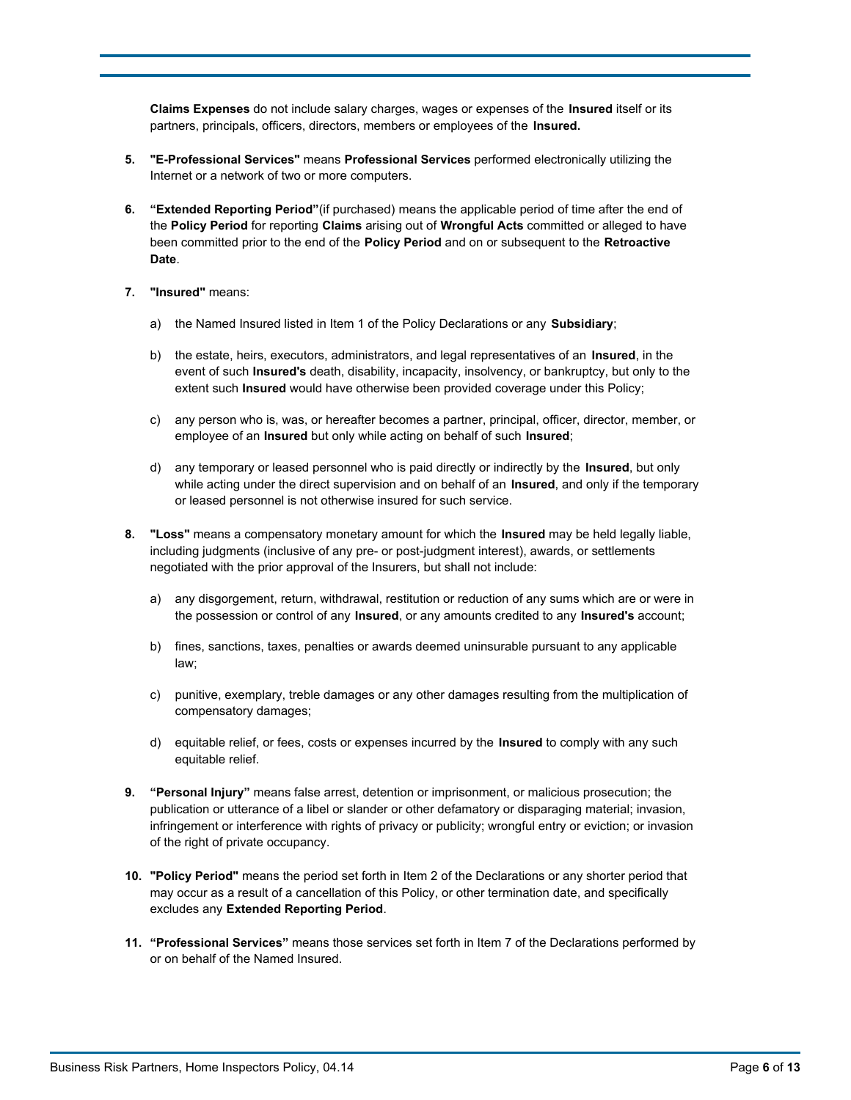**Claims Expenses** do not include salary charges, wages or expenses of the **Insured** itself or its partners, principals, officers, directors, members or employees of the **Insured.**

- **5. "E-Professional Services"** means **Professional Services** performed electronically utilizing the Internet or a network of two or more computers.
- **6. "Extended Reporting Period"**(if purchased) means the applicable period of time after the end of the **Policy Period** for reporting **Claims** arising out of **Wrongful Acts** committed or alleged to have been committed prior to the end of the **Policy Period** and on or subsequent to the **Retroactive Date**.
- **7. "Insured"** means:
	- a) the Named Insured listed in Item 1 of the Policy Declarations or any **Subsidiary**;
	- b) the estate, heirs, executors, administrators, and legal representatives of an **Insured**, in the event of such **Insured's** death, disability, incapacity, insolvency, or bankruptcy, but only to the extent such **Insured** would have otherwise been provided coverage under this Policy;
	- c) any person who is, was, or hereafter becomes a partner, principal, officer, director, member, or employee of an **Insured** but only while acting on behalf of such **Insured**;
	- d) any temporary or leased personnel who is paid directly or indirectly by the **Insured**, but only while acting under the direct supervision and on behalf of an **Insured**, and only if the temporary or leased personnel is not otherwise insured for such service.
- **8. "Loss"** means a compensatory monetary amount for which the **Insured** may be held legally liable, including judgments (inclusive of any pre- or post-judgment interest), awards, or settlements negotiated with the prior approval of the Insurers, but shall not include:
	- a) any disgorgement, return, withdrawal, restitution or reduction of any sums which are or were in the possession or control of any **Insured**, or any amounts credited to any **Insured's** account;
	- b) fines, sanctions, taxes, penalties or awards deemed uninsurable pursuant to any applicable law;
	- c) punitive, exemplary, treble damages or any other damages resulting from the multiplication of compensatory damages;
	- d) equitable relief, or fees, costs or expenses incurred by the **Insured** to comply with any such equitable relief.
- **9. "Personal Injury"** means false arrest, detention or imprisonment, or malicious prosecution; the publication or utterance of a libel or slander or other defamatory or disparaging material; invasion, infringement or interference with rights of privacy or publicity; wrongful entry or eviction; or invasion of the right of private occupancy.
- **10. "Policy Period"** means the period set forth in Item 2 of the Declarations or any shorter period that may occur as a result of a cancellation of this Policy, or other termination date, and specifically excludes any **Extended Reporting Period**.
- **11. "Professional Services"** means those services set forth in Item 7 of the Declarations performed by or on behalf of the Named Insured.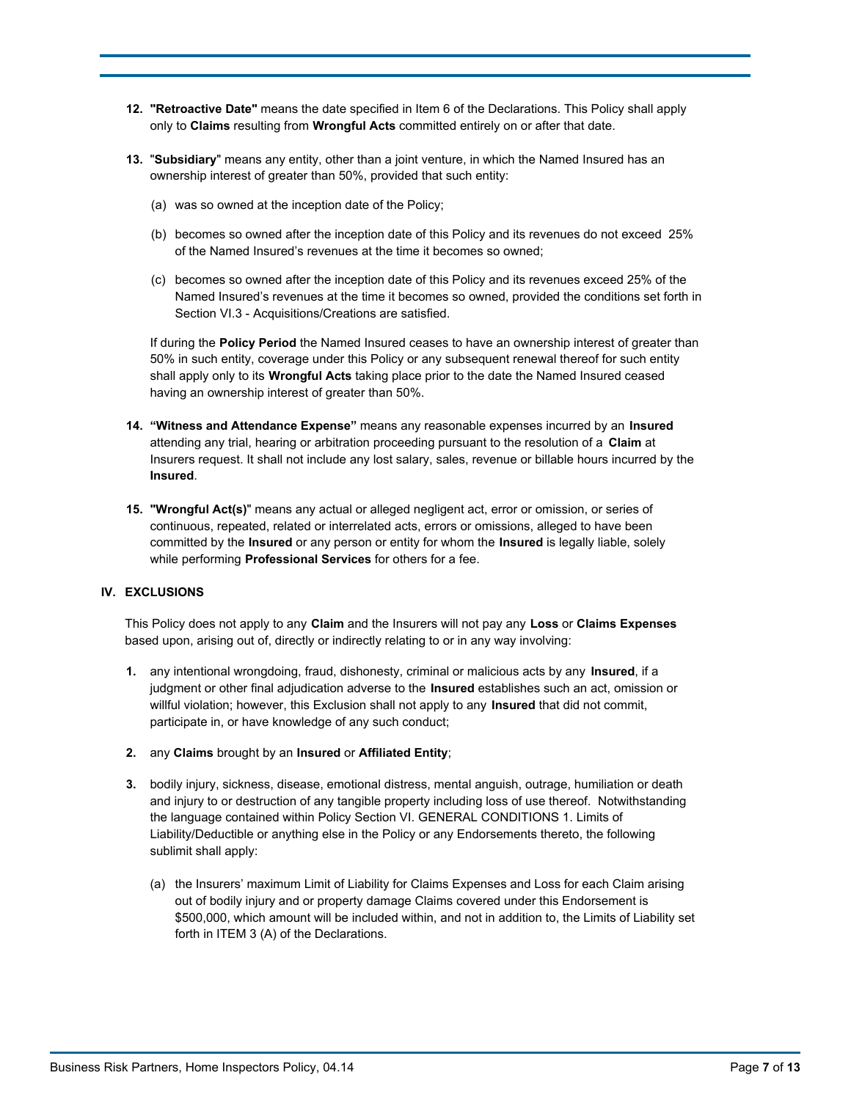- **12. "Retroactive Date"** means the date specified in Item 6 of the Declarations. This Policy shall apply only to **Claims** resulting from **Wrongful Acts** committed entirely on or after that date.
- **13.** "**Subsidiary**" means any entity, other than a joint venture, in which the Named Insured has an ownership interest of greater than 50%, provided that such entity:
	- (a) was so owned at the inception date of the Policy;
	- (b) becomes so owned after the inception date of this Policy and its revenues do not exceed 25% of the Named Insured's revenues at the time it becomes so owned;
	- (c) becomes so owned after the inception date of this Policy and its revenues exceed 25% of the Named Insured's revenues at the time it becomes so owned, provided the conditions set forth in Section VI.3 - Acquisitions/Creations are satisfied.

If during the **Policy Period** the Named Insured ceases to have an ownership interest of greater than 50% in such entity, coverage under this Policy or any subsequent renewal thereof for such entity shall apply only to its **Wrongful Acts** taking place prior to the date the Named Insured ceased having an ownership interest of greater than 50%.

- **14. "Witness and Attendance Expense"** means any reasonable expenses incurred by an **Insured**  attending any trial, hearing or arbitration proceeding pursuant to the resolution of a **Claim** at Insurers request. It shall not include any lost salary, sales, revenue or billable hours incurred by the **Insured**.
- **15. "Wrongful Act(s)**" means any actual or alleged negligent act, error or omission, or series of continuous, repeated, related or interrelated acts, errors or omissions, alleged to have been committed by the **Insured** or any person or entity for whom the **Insured** is legally liable, solely while performing **Professional Services** for others for a fee.

## **IV. EXCLUSIONS**

This Policy does not apply to any **Claim** and the Insurers will not pay any **Loss** or **Claims Expenses** based upon, arising out of, directly or indirectly relating to or in any way involving:

- **1.** any intentional wrongdoing, fraud, dishonesty, criminal or malicious acts by any **Insured**, if a judgment or other final adjudication adverse to the **Insured** establishes such an act, omission or willful violation; however, this Exclusion shall not apply to any **Insured** that did not commit, participate in, or have knowledge of any such conduct;
- **2.** any **Claims** brought by an **Insured** or **Affiliated Entity**;
- **3.** bodily injury, sickness, disease, emotional distress, mental anguish, outrage, humiliation or death and injury to or destruction of any tangible property including loss of use thereof. Notwithstanding the language contained within Policy Section VI. GENERAL CONDITIONS 1. Limits of Liability/Deductible or anything else in the Policy or any Endorsements thereto, the following sublimit shall apply:
	- (a) the Insurers' maximum Limit of Liability for Claims Expenses and Loss for each Claim arising out of bodily injury and or property damage Claims covered under this Endorsement is \$500,000, which amount will be included within, and not in addition to, the Limits of Liability set forth in ITEM 3 (A) of the Declarations.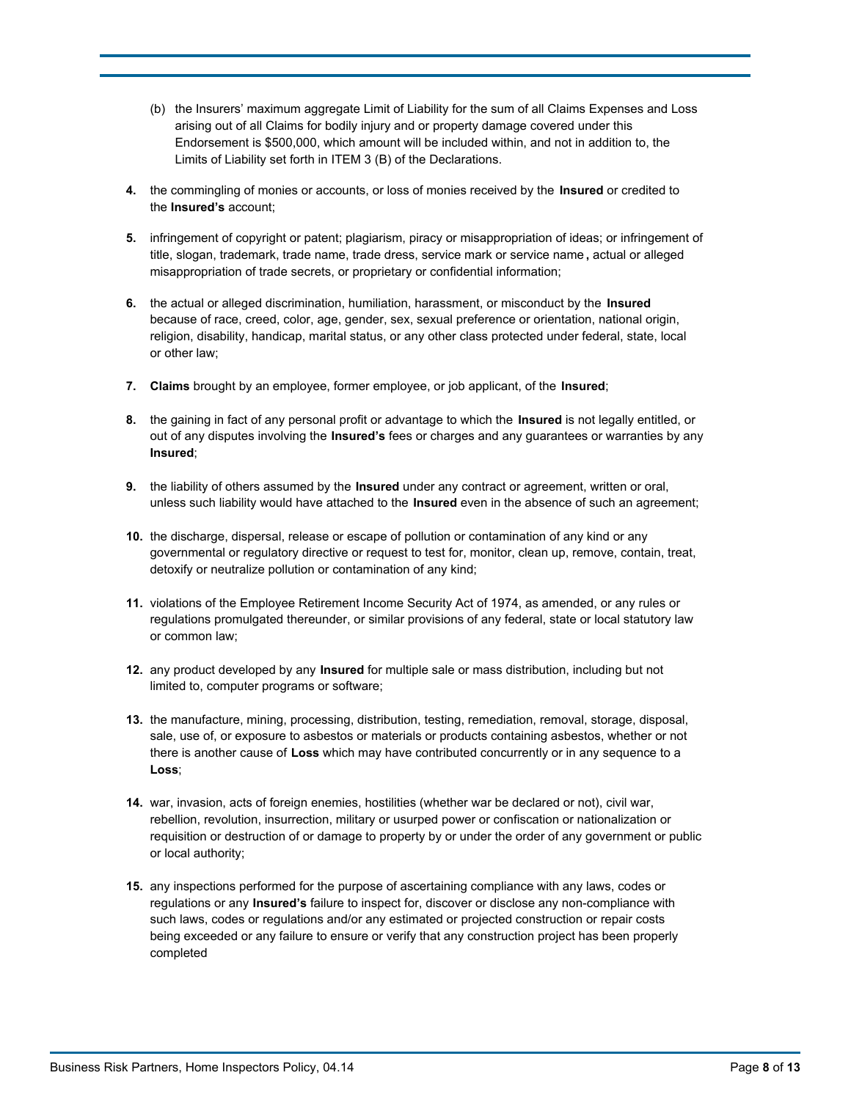- (b) the Insurers' maximum aggregate Limit of Liability for the sum of all Claims Expenses and Loss arising out of all Claims for bodily injury and or property damage covered under this Endorsement is \$500,000, which amount will be included within, and not in addition to, the Limits of Liability set forth in ITEM 3 (B) of the Declarations.
- **4.** the commingling of monies or accounts, or loss of monies received by the **Insured** or credited to the **Insured's** account;
- **5.** infringement of copyright or patent; plagiarism, piracy or misappropriation of ideas; or infringement of title, slogan, trademark, trade name, trade dress, service mark or service name **,** actual or alleged misappropriation of trade secrets, or proprietary or confidential information;
- **6.** the actual or alleged discrimination, humiliation, harassment, or misconduct by the **Insured**  because of race, creed, color, age, gender, sex, sexual preference or orientation, national origin, religion, disability, handicap, marital status, or any other class protected under federal, state, local or other law;
- **7. Claims** brought by an employee, former employee, or job applicant, of the **Insured**;
- **8.** the gaining in fact of any personal profit or advantage to which the **Insured** is not legally entitled, or out of any disputes involving the **Insured's** fees or charges and any guarantees or warranties by any **Insured**;
- **9.** the liability of others assumed by the **Insured** under any contract or agreement, written or oral, unless such liability would have attached to the **Insured** even in the absence of such an agreement;
- **10.** the discharge, dispersal, release or escape of pollution or contamination of any kind or any governmental or regulatory directive or request to test for, monitor, clean up, remove, contain, treat, detoxify or neutralize pollution or contamination of any kind;
- **11.** violations of the Employee Retirement Income Security Act of 1974, as amended, or any rules or regulations promulgated thereunder, or similar provisions of any federal, state or local statutory law or common law;
- **12.** any product developed by any **Insured** for multiple sale or mass distribution, including but not limited to, computer programs or software;
- **13.** the manufacture, mining, processing, distribution, testing, remediation, removal, storage, disposal, sale, use of, or exposure to asbestos or materials or products containing asbestos, whether or not there is another cause of **Loss** which may have contributed concurrently or in any sequence to a **Loss**;
- **14.** war, invasion, acts of foreign enemies, hostilities (whether war be declared or not), civil war, rebellion, revolution, insurrection, military or usurped power or confiscation or nationalization or requisition or destruction of or damage to property by or under the order of any government or public or local authority;
- **15.** any inspections performed for the purpose of ascertaining compliance with any laws, codes or regulations or any **Insured's** failure to inspect for, discover or disclose any non-compliance with such laws, codes or regulations and/or any estimated or projected construction or repair costs being exceeded or any failure to ensure or verify that any construction project has been properly completed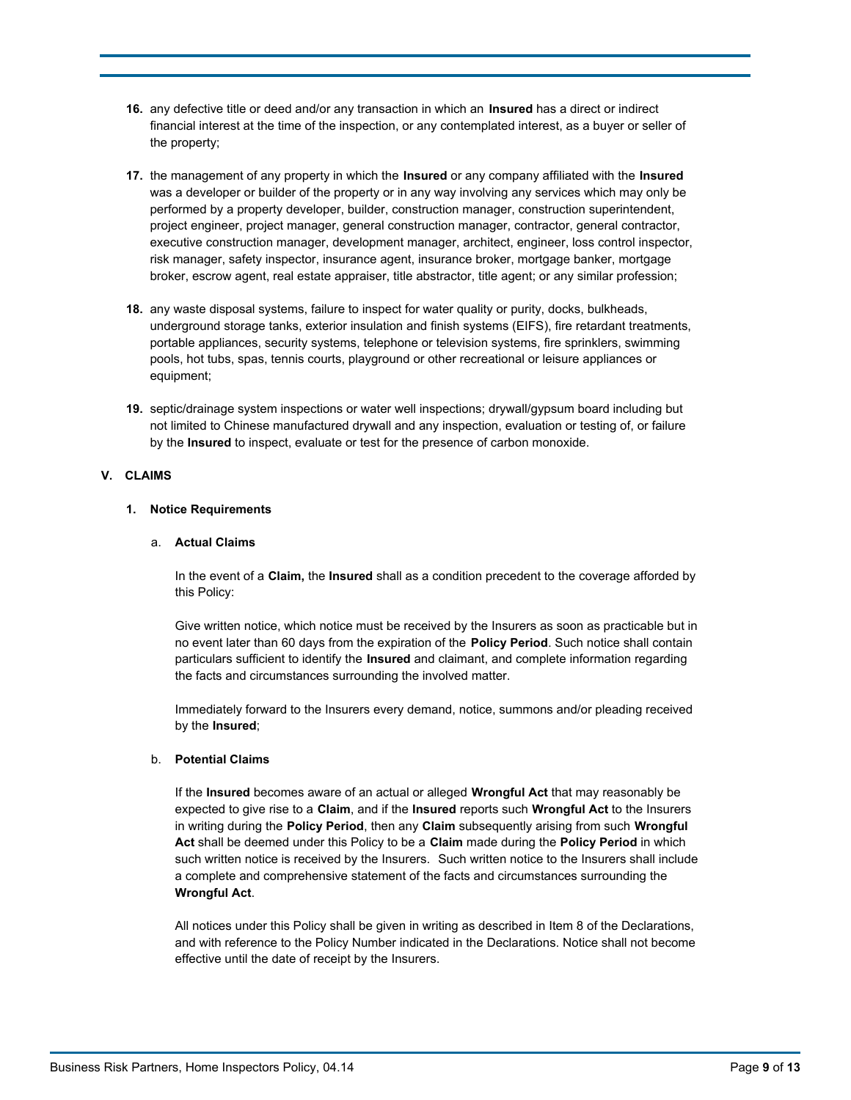- **16.** any defective title or deed and/or any transaction in which an **Insured** has a direct or indirect financial interest at the time of the inspection, or any contemplated interest, as a buyer or seller of the property;
- **17.** the management of any property in which the **Insured** or any company affiliated with the **Insured**  was a developer or builder of the property or in any way involving any services which may only be performed by a property developer, builder, construction manager, construction superintendent, project engineer, project manager, general construction manager, contractor, general contractor, executive construction manager, development manager, architect, engineer, loss control inspector, risk manager, safety inspector, insurance agent, insurance broker, mortgage banker, mortgage broker, escrow agent, real estate appraiser, title abstractor, title agent; or any similar profession;
- **18.** any waste disposal systems, failure to inspect for water quality or purity, docks, bulkheads, underground storage tanks, exterior insulation and finish systems (EIFS), fire retardant treatments, portable appliances, security systems, telephone or television systems, fire sprinklers, swimming pools, hot tubs, spas, tennis courts, playground or other recreational or leisure appliances or equipment;
- **19.** septic/drainage system inspections or water well inspections; drywall/gypsum board including but not limited to Chinese manufactured drywall and any inspection, evaluation or testing of, or failure by the **Insured** to inspect, evaluate or test for the presence of carbon monoxide.

## **V. CLAIMS**

### **1. Notice Requirements**

### a. **Actual Claims**

In the event of a **Claim,** the **Insured** shall as a condition precedent to the coverage afforded by this Policy:

Give written notice, which notice must be received by the Insurers as soon as practicable but in no event later than 60 days from the expiration of the **Policy Period**. Such notice shall contain particulars sufficient to identify the **Insured** and claimant, and complete information regarding the facts and circumstances surrounding the involved matter.

Immediately forward to the Insurers every demand, notice, summons and/or pleading received by the **Insured**;

### b. **Potential Claims**

If the **Insured** becomes aware of an actual or alleged **Wrongful Act** that may reasonably be expected to give rise to a **Claim**, and if the **Insured** reports such **Wrongful Act** to the Insurers in writing during the **Policy Period**, then any **Claim** subsequently arising from such **Wrongful Act** shall be deemed under this Policy to be a **Claim** made during the **Policy Period** in which such written notice is received by the Insurers.Such written notice to the Insurers shall include a complete and comprehensive statement of the facts and circumstances surrounding the **Wrongful Act**.

All notices under this Policy shall be given in writing as described in Item 8 of the Declarations, and with reference to the Policy Number indicated in the Declarations. Notice shall not become effective until the date of receipt by the Insurers.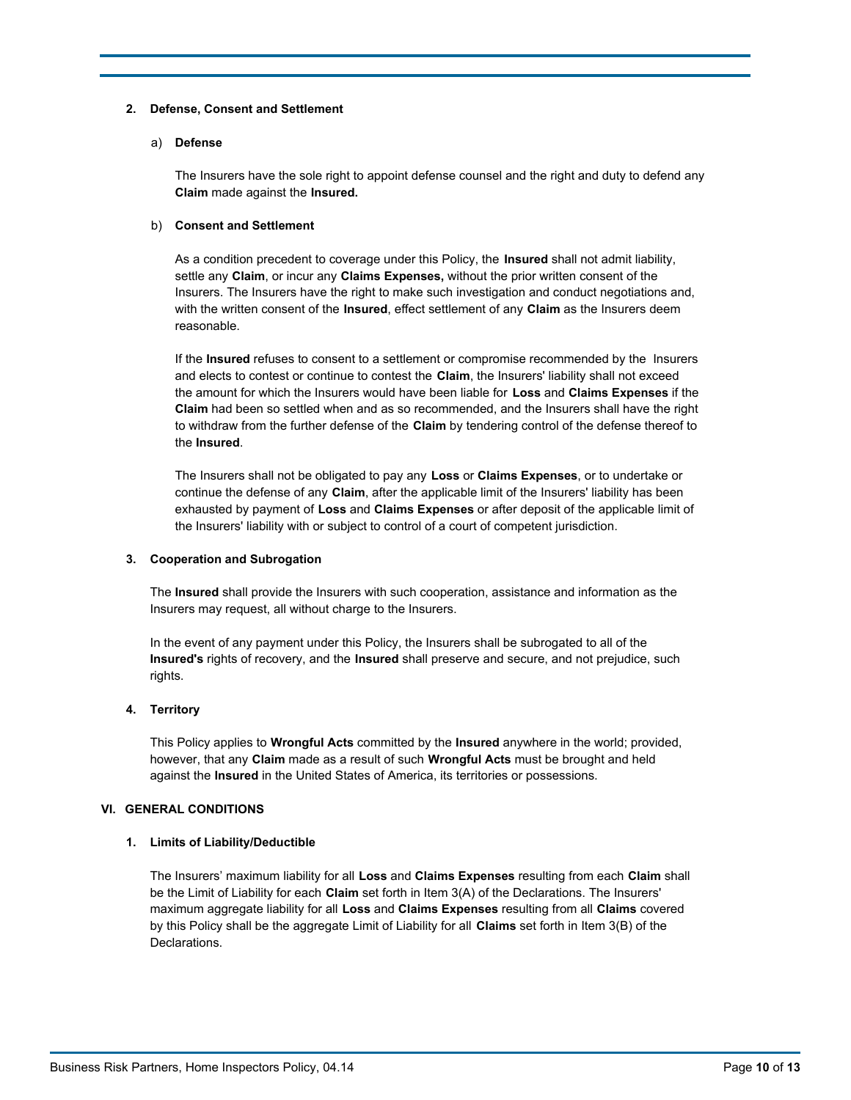### **2. Defense, Consent and Settlement**

#### a) **Defense**

The Insurers have the sole right to appoint defense counsel and the right and duty to defend any **Claim** made against the **Insured.**

#### b) **Consent and Settlement**

As a condition precedent to coverage under this Policy, the **Insured** shall not admit liability, settle any **Claim**, or incur any **Claims Expenses,** without the prior written consent of the Insurers. The Insurers have the right to make such investigation and conduct negotiations and, with the written consent of the **Insured**, effect settlement of any **Claim** as the Insurers deem reasonable.

If the **Insured** refuses to consent to a settlement or compromise recommended by the Insurers and elects to contest or continue to contest the **Claim**, the Insurers' liability shall not exceed the amount for which the Insurers would have been liable for **Loss** and **Claims Expenses** if the **Claim** had been so settled when and as so recommended, and the Insurers shall have the right to withdraw from the further defense of the **Claim** by tendering control of the defense thereof to the **Insured**.

The Insurers shall not be obligated to pay any **Loss** or **Claims Expenses**, or to undertake or continue the defense of any **Claim**, after the applicable limit of the Insurers' liability has been exhausted by payment of **Loss** and **Claims Expenses** or after deposit of the applicable limit of the Insurers' liability with or subject to control of a court of competent jurisdiction.

### **3. Cooperation and Subrogation**

The **Insured** shall provide the Insurers with such cooperation, assistance and information as the Insurers may request, all without charge to the Insurers.

In the event of any payment under this Policy, the Insurers shall be subrogated to all of the **Insured's** rights of recovery, and the **Insured** shall preserve and secure, and not prejudice, such rights.

### **4. Territory**

This Policy applies to **Wrongful Acts** committed by the **Insured** anywhere in the world; provided, however, that any **Claim** made as a result of such **Wrongful Acts** must be brought and held against the **Insured** in the United States of America, its territories or possessions.

### **VI. GENERAL CONDITIONS**

### **1. Limits of Liability/Deductible**

The Insurers' maximum liability for all **Loss** and **Claims Expenses** resulting from each **Claim** shall be the Limit of Liability for each **Claim** set forth in Item 3(A) of the Declarations. The Insurers' maximum aggregate liability for all **Loss** and **Claims Expenses** resulting from all **Claims** covered by this Policy shall be the aggregate Limit of Liability for all **Claims** set forth in Item 3(B) of the Declarations.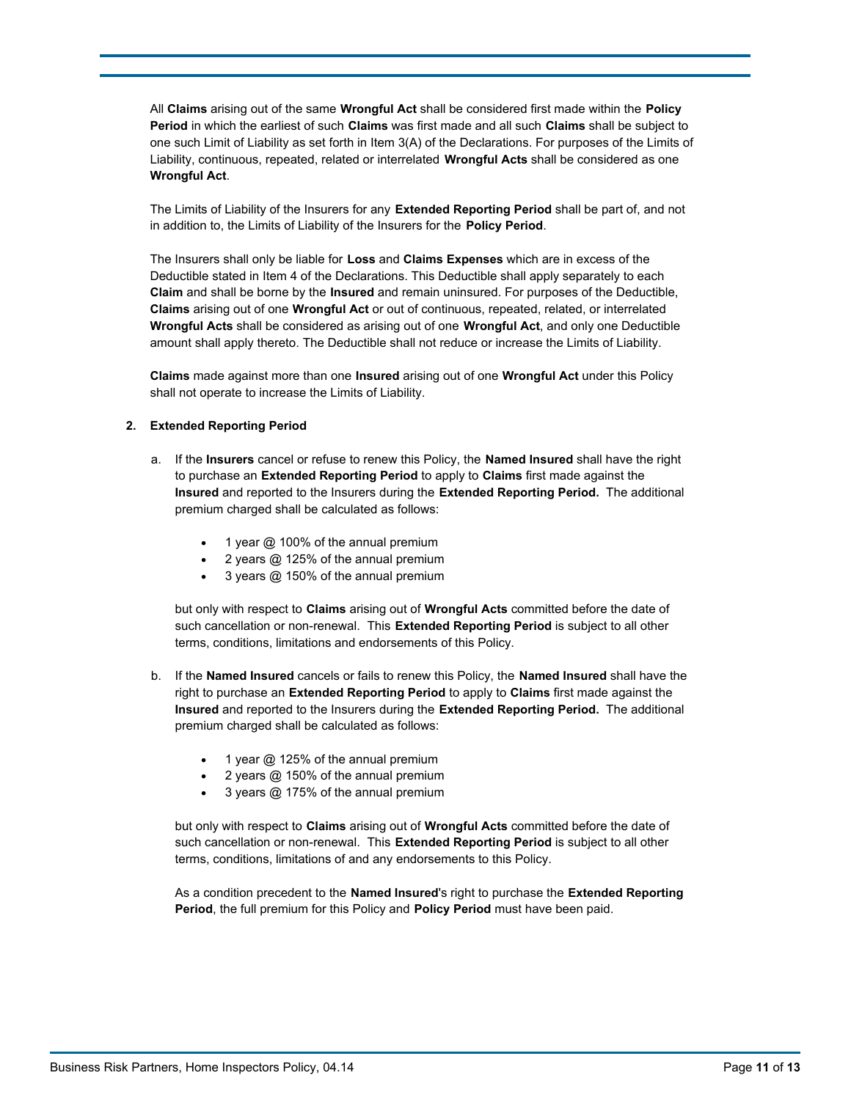All **Claims** arising out of the same **Wrongful Act** shall be considered first made within the **Policy Period** in which the earliest of such **Claims** was first made and all such **Claims** shall be subject to one such Limit of Liability as set forth in Item 3(A) of the Declarations. For purposes of the Limits of Liability, continuous, repeated, related or interrelated **Wrongful Acts** shall be considered as one **Wrongful Act**.

The Limits of Liability of the Insurers for any **Extended Reporting Period** shall be part of, and not in addition to, the Limits of Liability of the Insurers for the **Policy Period**.

The Insurers shall only be liable for **Loss** and **Claims Expenses** which are in excess of the Deductible stated in Item 4 of the Declarations. This Deductible shall apply separately to each **Claim** and shall be borne by the **Insured** and remain uninsured. For purposes of the Deductible, **Claims** arising out of one **Wrongful Act** or out of continuous, repeated, related, or interrelated **Wrongful Acts** shall be considered as arising out of one **Wrongful Act**, and only one Deductible amount shall apply thereto. The Deductible shall not reduce or increase the Limits of Liability.

**Claims** made against more than one **Insured** arising out of one **Wrongful Act** under this Policy shall not operate to increase the Limits of Liability.

#### **2. Extended Reporting Period**

- a. If the **Insurers** cancel or refuse to renew this Policy, the **Named Insured** shall have the right to purchase an **Extended Reporting Period** to apply to **Claims** first made against the **Insured** and reported to the Insurers during the **Extended Reporting Period.** The additional premium charged shall be calculated as follows:
	- 1 year  $@$  100% of the annual premium
	- 2 years @ 125% of the annual premium
	- 3 years @ 150% of the annual premium

but only with respect to **Claims** arising out of **Wrongful Acts** committed before the date of such cancellation or non-renewal. This **Extended Reporting Period** is subject to all other terms, conditions, limitations and endorsements of this Policy.

- b. If the **Named Insured** cancels or fails to renew this Policy, the **Named Insured** shall have the right to purchase an **Extended Reporting Period** to apply to **Claims** first made against the **Insured** and reported to the Insurers during the **Extended Reporting Period.** The additional premium charged shall be calculated as follows:
	- 1 year  $@$  125% of the annual premium
	- 2 years  $@$  150% of the annual premium
	- 3 years @ 175% of the annual premium

but only with respect to **Claims** arising out of **Wrongful Acts** committed before the date of such cancellation or non-renewal. This **Extended Reporting Period** is subject to all other terms, conditions, limitations of and any endorsements to this Policy.

As a condition precedent to the **Named Insured**'s right to purchase the **Extended Reporting Period**, the full premium for this Policy and **Policy Period** must have been paid.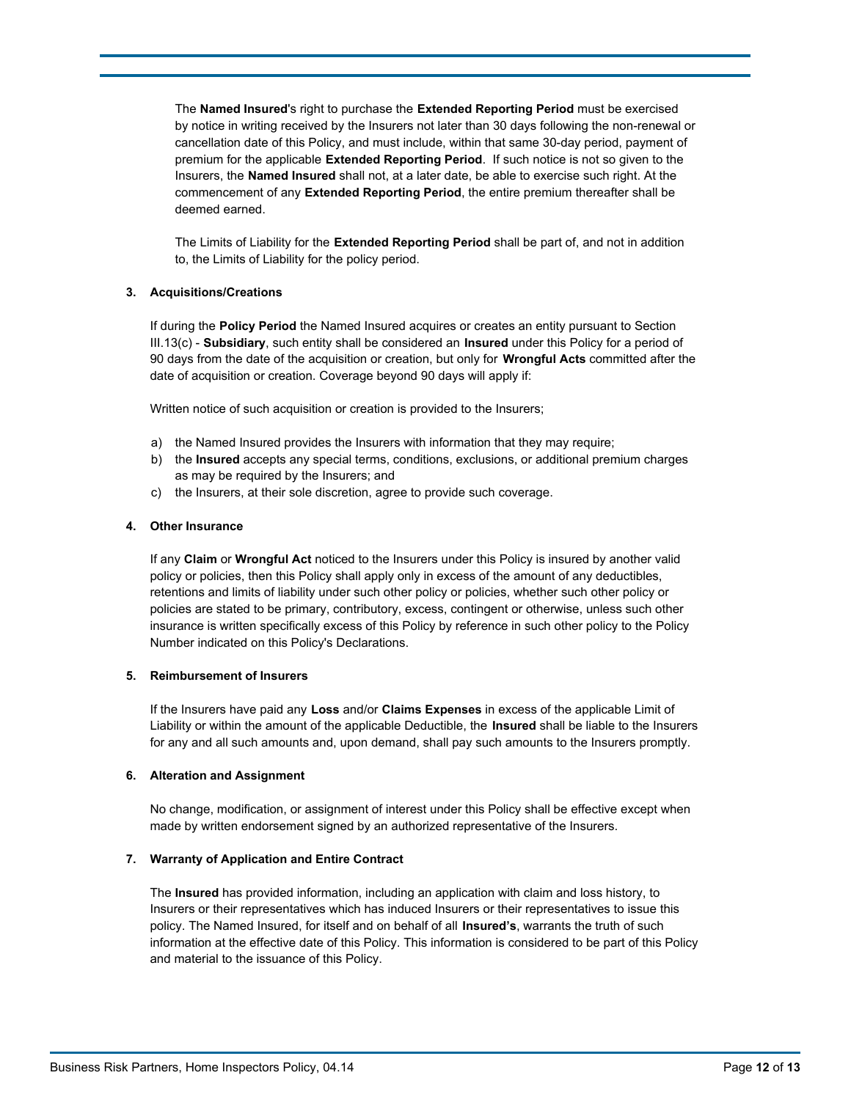The **Named Insured**'s right to purchase the **Extended Reporting Period** must be exercised by notice in writing received by the Insurers not later than 30 days following the non-renewal or cancellation date of this Policy, and must include, within that same 30-day period, payment of premium for the applicable **Extended Reporting Period**. If such notice is not so given to the Insurers, the **Named Insured** shall not, at a later date, be able to exercise such right. At the commencement of any **Extended Reporting Period**, the entire premium thereafter shall be deemed earned.

The Limits of Liability for the **Extended Reporting Period** shall be part of, and not in addition to, the Limits of Liability for the policy period.

### **3. Acquisitions/Creations**

If during the **Policy Period** the Named Insured acquires or creates an entity pursuant to Section III.13(c) - **Subsidiary**, such entity shall be considered an **Insured** under this Policy for a period of 90 days from the date of the acquisition or creation, but only for **Wrongful Acts** committed after the date of acquisition or creation. Coverage beyond 90 days will apply if:

Written notice of such acquisition or creation is provided to the Insurers;

- a) the Named Insured provides the Insurers with information that they may require;
- b) the **Insured** accepts any special terms, conditions, exclusions, or additional premium charges as may be required by the Insurers; and
- c) the Insurers, at their sole discretion, agree to provide such coverage.

### **4. Other Insurance**

If any **Claim** or **Wrongful Act** noticed to the Insurers under this Policy is insured by another valid policy or policies, then this Policy shall apply only in excess of the amount of any deductibles, retentions and limits of liability under such other policy or policies, whether such other policy or policies are stated to be primary, contributory, excess, contingent or otherwise, unless such other insurance is written specifically excess of this Policy by reference in such other policy to the Policy Number indicated on this Policy's Declarations.

#### **5. Reimbursement of Insurers**

If the Insurers have paid any **Loss** and/or **Claims Expenses** in excess of the applicable Limit of Liability or within the amount of the applicable Deductible, the **Insured** shall be liable to the Insurers for any and all such amounts and, upon demand, shall pay such amounts to the Insurers promptly.

#### **6. Alteration and Assignment**

No change, modification, or assignment of interest under this Policy shall be effective except when made by written endorsement signed by an authorized representative of the Insurers.

#### **7. Warranty of Application and Entire Contract**

The **Insured** has provided information, including an application with claim and loss history, to Insurers or their representatives which has induced Insurers or their representatives to issue this policy. The Named Insured, for itself and on behalf of all **Insured's**, warrants the truth of such information at the effective date of this Policy. This information is considered to be part of this Policy and material to the issuance of this Policy.